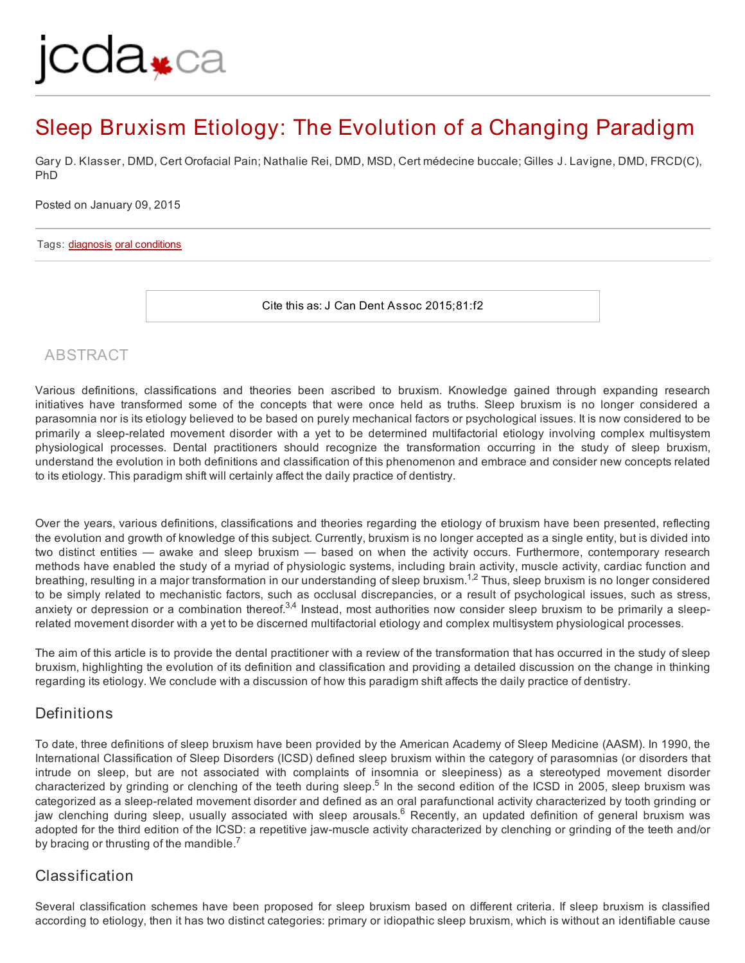# jcda<sub>\*ca</sub>

# Sleep Bruxism Etiology: The Evolution of a Changing Paradigm

Gary D. Klasser, DMD, Cert Orofacial Pain; Nathalie Rei, DMD, MSD, Cert médecine buccale; Gilles J. Lavigne, DMD, FRCD(C), PhD

Posted on January 09, 2015

#### Tags: [diagnosis](http://jcda.ca/Article/tagged-with/tag/en_diagnosis) oral [conditions](http://jcda.ca/Article/tagged-with/tag/en_oral+conditions)

Cite this as: J Can Dent Assoc 2015;81:f2

# ABSTRACT

Various definitions, classifications and theories been ascribed to bruxism. Knowledge gained through expanding research initiatives have transformed some of the concepts that were once held as truths. Sleep bruxism is no longer considered a parasomnia nor is its etiology believed to be based on purely mechanical factors or psychological issues. It is now considered to be primarily a sleep-related movement disorder with a yet to be determined multifactorial etiology involving complex multisystem physiological processes. Dental practitioners should recognize the transformation occurring in the study of sleep bruxism, understand the evolution in both definitions and classification of this phenomenon and embrace and consider new concepts related to its etiology. This paradigm shift will certainly affect the daily practice of dentistry.

Over the years, various definitions, classifications and theories regarding the etiology of bruxism have been presented, reflecting the evolution and growth of knowledge of this subject. Currently, bruxism is no longer accepted as a single entity, but is divided into two distinct entities — awake and sleep bruxism — based on when the activity occurs. Furthermore, contemporary research methods have enabled the study of a myriad of physiologic systems, including brain activity, muscle activity, cardiac function and breathing, resulting in a major transformation in our understanding of sleep bruxism.<sup>1,2</sup> Thus, sleep bruxism is no longer considered to be simply related to mechanistic factors, such as occlusal discrepancies, or a result of psychological issues, such as stress, anxiety or depression or a combination thereof.<sup>3,4</sup> Instead, most authorities now consider sleep bruxism to be primarily a sleeprelated movement disorder with a yet to be discerned multifactorial etiology and complex multisystem physiological processes.

The aim of this article is to provide the dental practitioner with a review of the transformation that has occurred in the study of sleep bruxism, highlighting the evolution of its definition and classification and providing a detailed discussion on the change in thinking regarding its etiology. We conclude with a discussion of how this paradigm shift affects the daily practice of dentistry.

# Definitions

To date, three definitions of sleep bruxism have been provided by the American Academy of Sleep Medicine (AASM). In 1990, the International Classification of Sleep Disorders (ICSD) defined sleep bruxism within the category of parasomnias (or disorders that intrude on sleep, but are not associated with complaints of insomnia or sleepiness) as a stereotyped movement disorder characterized by grinding or clenching of the teeth during sleep.<sup>5</sup> In the second edition of the ICSD in 2005, sleep bruxism was categorized as a sleep-related movement disorder and defined as an oral parafunctional activity characterized by tooth grinding or jaw clenching during sleep, usually associated with sleep arousals.<sup>6</sup> Recently, an updated definition of general bruxism was adopted for the third edition of the ICSD: a repetitive jaw-muscle activity characterized by clenching or grinding of the teeth and/or by bracing or thrusting of the mandible.<sup>7</sup>

# Classification

Several classification schemes have been proposed for sleep bruxism based on different criteria. If sleep bruxism is classified according to etiology, then it has two distinct categories: primary or idiopathic sleep bruxism, which is without an identifiable cause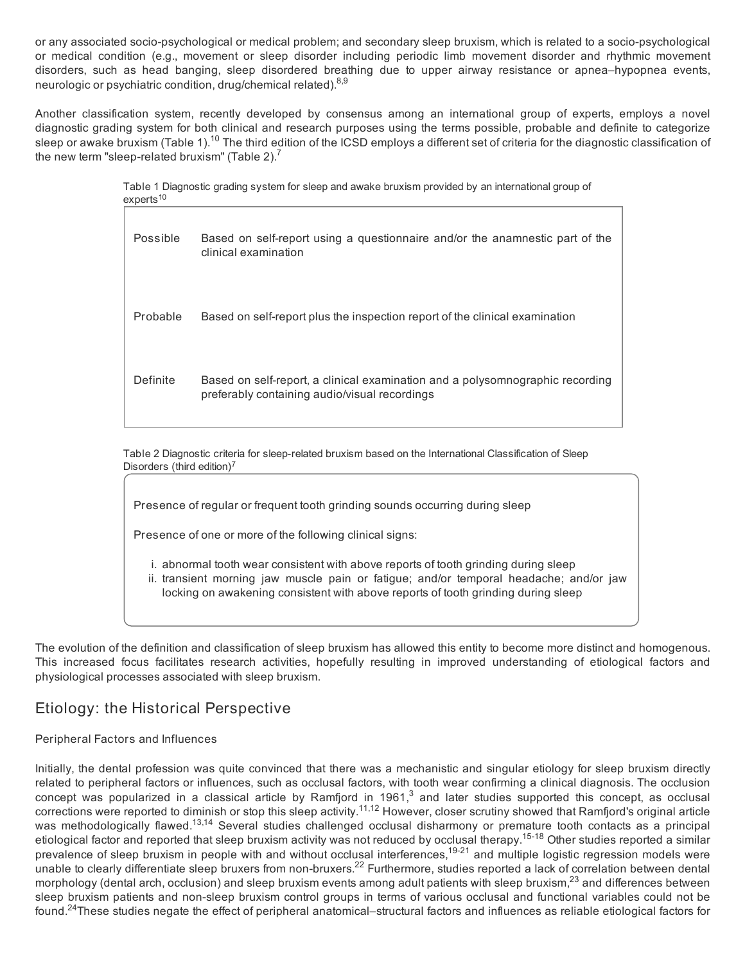or any associated socio-psychological or medical problem; and secondary sleep bruxism, which is related to a socio-psychological or medical condition (e.g., movement or sleep disorder including periodic limb movement disorder and rhythmic movement disorders, such as head banging, sleep disordered breathing due to upper airway resistance or apnea–hypopnea events, neurologic or psychiatric condition, drug/chemical related).<sup>8,9</sup>

Another classification system, recently developed by consensus among an international group of experts, employs a novel diagnostic grading system for both clinical and research purposes using the terms possible, probable and definite to categorize sleep or awake bruxism (Table 1).<sup>10</sup> The third edition of the ICSD employs a different set of criteria for the diagnostic classification of the new term "sleep-related bruxism" (Table 2). $<sup>7</sup>$ </sup>

> Table 1 Diagnostic grading system for sleep and awake bruxism provided by an international group of  $experts<sup>10</sup>$

| Possible | Based on self-report using a questionnaire and/or the anamnestic part of the<br>clinical examination                           |
|----------|--------------------------------------------------------------------------------------------------------------------------------|
| Probable | Based on self-report plus the inspection report of the clinical examination                                                    |
| Definite | Based on self-report, a clinical examination and a polysomnographic recording<br>preferably containing audio/visual recordings |

Table 2 Diagnostic criteria for sleep-related bruxism based on the International Classification of Sleep Disorders (third edition)<sup>7</sup>

Presence of regular or frequent tooth grinding sounds occurring during sleep

Presence of one or more of the following clinical signs:

- i. abnormal tooth wear consistent with above reports of tooth grinding during sleep
- ii. transient morning jaw muscle pain or fatigue; and/or temporal headache; and/or jaw locking on awakening consistent with above reports of tooth grinding during sleep

The evolution of the definition and classification of sleep bruxism has allowed this entity to become more distinct and homogenous. This increased focus facilitates research activities, hopefully resulting in improved understanding of etiological factors and physiological processes associated with sleep bruxism.

# Etiology: the Historical Perspective

#### Peripheral Factors and Influences

Initially, the dental profession was quite convinced that there was a mechanistic and singular etiology for sleep bruxism directly related to peripheral factors or influences, such as occlusal factors, with tooth wear confirming a clinical diagnosis. The occlusion concept was popularized in a classical article by Ramfjord in 1961, $3$  and later studies supported this concept, as occlusal corrections were reported to diminish or stop this sleep activity.11,12 However, closer scrutiny showed that Ramfjord's original article was methodologically flawed.<sup>13,14</sup> Several studies challenged occlusal disharmony or premature tooth contacts as a principal etiological factor and reported that sleep bruxism activity was not reduced by occlusal therapy.<sup>15-18</sup> Other studies reported a similar prevalence of sleep bruxism in people with and without occlusal interferences,19-21 and multiple logistic regression models were unable to clearly differentiate sleep bruxers from non-bruxers.<sup>22</sup> Furthermore, studies reported a lack of correlation between dental morphology (dental arch, occlusion) and sleep bruxism events among adult patients with sleep bruxism,<sup>23</sup> and differences between sleep bruxism patients and non-sleep bruxism control groups in terms of various occlusal and functional variables could not be found.<sup>24</sup>These studies negate the effect of peripheral anatomical–structural factors and influences as reliable etiological factors for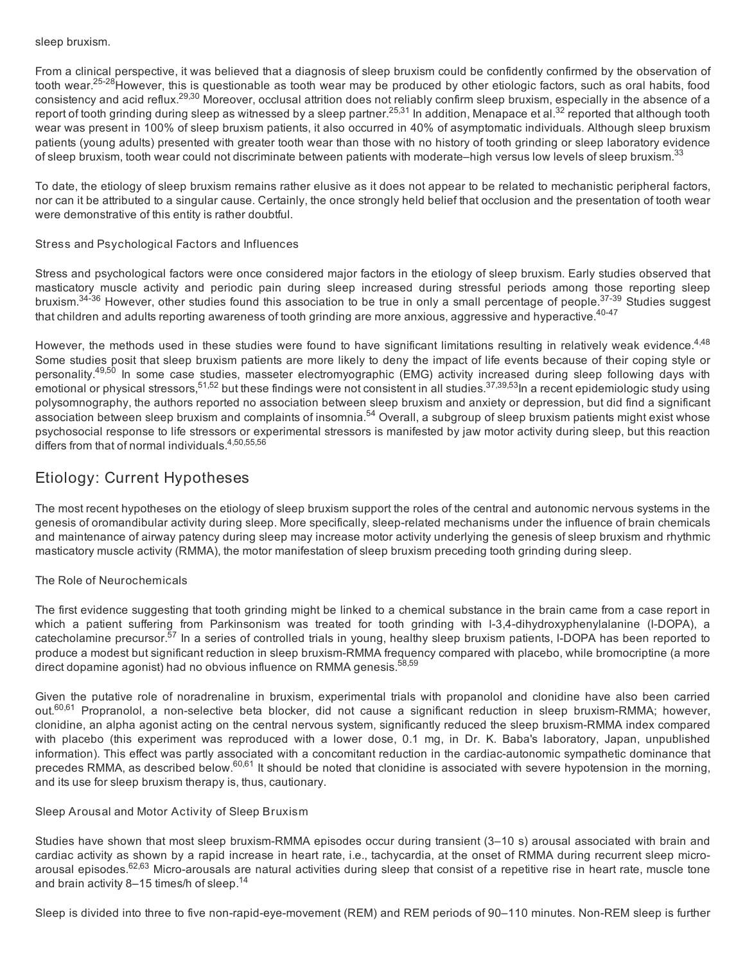#### sleep bruxism.

From a clinical perspective, it was believed that a diagnosis of sleep bruxism could be confidently confirmed by the observation of tooth wear.<sup>25-28</sup>However, this is questionable as tooth wear may be produced by other etiologic factors, such as oral habits, food consistency and acid reflux.29,30 Moreover, occlusal attrition does not reliably confirm sleep bruxism, especially in the absence of a report of tooth grinding during sleep as witnessed by a sleep partner.<sup>25,31</sup> In addition, Menapace et al.<sup>32</sup> reported that although tooth wear was present in 100% of sleep bruxism patients, it also occurred in 40% of asymptomatic individuals. Although sleep bruxism patients (young adults) presented with greater tooth wear than those with no history of tooth grinding or sleep laboratory evidence of sleep bruxism, tooth wear could not discriminate between patients with moderate–high versus low levels of sleep bruxism.<sup>33</sup>

To date, the etiology of sleep bruxism remains rather elusive as it does not appear to be related to mechanistic peripheral factors, nor can it be attributed to a singular cause. Certainly, the once strongly held belief that occlusion and the presentation of tooth wear were demonstrative of this entity is rather doubtful.

#### Stress and Psychological Factors and Influences

Stress and psychological factors were once considered major factors in the etiology of sleep bruxism. Early studies observed that masticatory muscle activity and periodic pain during sleep increased during stressful periods among those reporting sleep bruxism.<sup>34-36</sup> However, other studies found this association to be true in only a small percentage of people.<sup>37-39</sup> Studies suggest that children and adults reporting awareness of tooth grinding are more anxious, aggressive and hyperactive. $40-47$ 

However, the methods used in these studies were found to have significant limitations resulting in relatively weak evidence.<sup>4,48</sup> Some studies posit that sleep bruxism patients are more likely to deny the impact of life events because of their coping style or personality.<sup>49,50</sup> In some case studies, masseter electromyographic (EMG) activity increased during sleep following days with emotional or physical stressors,<sup>51,52</sup> but these findings were not consistent in all studies.<sup>37,39,53</sup>ln a recent epidemiologic study using polysomnography, the authors reported no association between sleep bruxism and anxiety or depression, but did find a significant association between sleep bruxism and complaints of insomnia.<sup>54</sup> Overall, a subgroup of sleep bruxism patients might exist whose psychosocial response to life stressors or experimental stressors is manifested by jaw motor activity during sleep, but this reaction differs from that of normal individuals.4,50,55,56

# Etiology: Current Hypotheses

The most recent hypotheses on the etiology of sleep bruxism support the roles of the central and autonomic nervous systems in the genesis of oromandibular activity during sleep. More specifically, sleep-related mechanisms under the influence of brain chemicals and maintenance of airway patency during sleep may increase motor activity underlying the genesis of sleep bruxism and rhythmic masticatory muscle activity (RMMA), the motor manifestation of sleep bruxism preceding tooth grinding during sleep.

#### The Role of Neurochemicals

The first evidence suggesting that tooth grinding might be linked to a chemical substance in the brain came from a case report in which a patient suffering from Parkinsonism was treated for tooth grinding with I-3,4-dihydroxyphenylalanine (I-DOPA), a catecholamine precursor.<sup>57</sup> In a series of controlled trials in young, healthy sleep bruxism patients, I-DOPA has been reported to produce a modest but significant reduction in sleep bruxism-RMMA frequency compared with placebo, while bromocriptine (a more direct dopamine agonist) had no obvious influence on RMMA genesis.<sup>58,59</sup>

Given the putative role of noradrenaline in bruxism, experimental trials with propanolol and clonidine have also been carried out.<sup>60,61</sup> Propranolol, a non-selective beta blocker, did not cause a significant reduction in sleep bruxism-RMMA; however, clonidine, an alpha agonist acting on the central nervous system, significantly reduced the sleep bruxism-RMMA index compared with placebo (this experiment was reproduced with a lower dose, 0.1 mg, in Dr. K. Baba's laboratory, Japan, unpublished information). This effect was partly associated with a concomitant reduction in the cardiac-autonomic sympathetic dominance that precedes RMMA, as described below.<sup>60,61</sup> It should be noted that clonidine is associated with severe hypotension in the morning, and its use for sleep bruxism therapy is, thus, cautionary.

#### Sleep Arousal and Motor Activity of Sleep Bruxism

Studies have shown that most sleep bruxism-RMMA episodes occur during transient (3–10 s) arousal associated with brain and cardiac activity as shown by a rapid increase in heart rate, i.e., tachycardia, at the onset of RMMA during recurrent sleep microarousal episodes.<sup>62,63</sup> Micro-arousals are natural activities during sleep that consist of a repetitive rise in heart rate, muscle tone and brain activity 8-15 times/h of sleep.<sup>14</sup>

Sleep is divided into three to five non-rapid-eye-movement (REM) and REM periods of 90–110 minutes. Non-REM sleep is further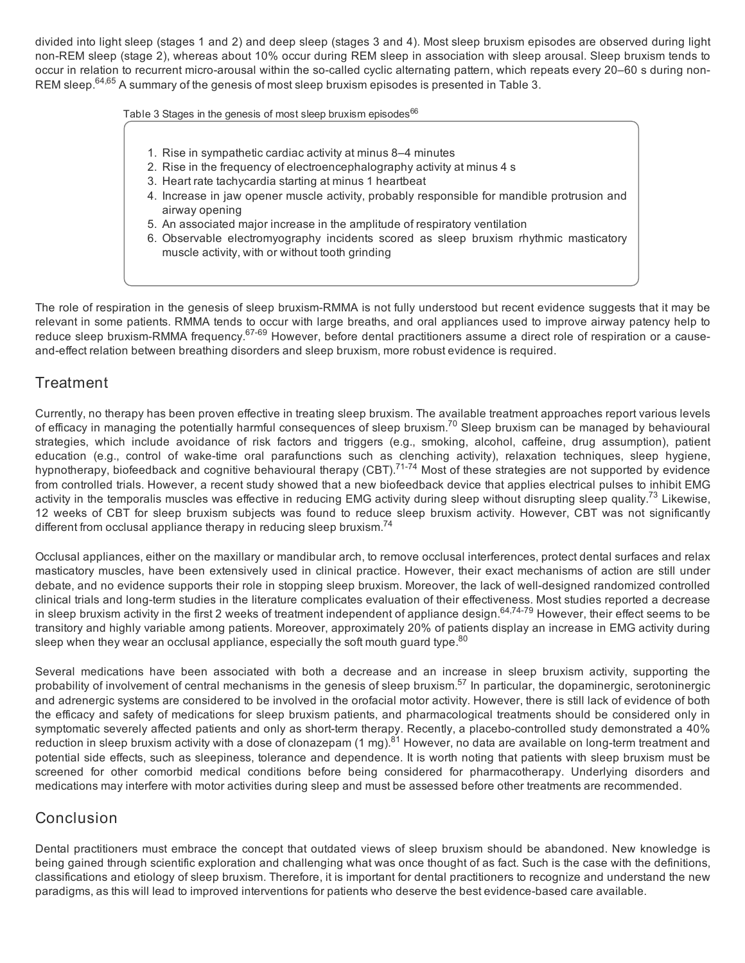divided into light sleep (stages 1 and 2) and deep sleep (stages 3 and 4). Most sleep bruxism episodes are observed during light non-REM sleep (stage 2), whereas about 10% occur during REM sleep in association with sleep arousal. Sleep bruxism tends to occur in relation to recurrent micro-arousal within the so-called cyclic alternating pattern, which repeats every 20–60 s during non-REM sleep.<sup>64,65</sup> A summary of the genesis of most sleep bruxism episodes is presented in Table 3.

Table 3 Stages in the genesis of most sleep bruxism episodes<sup>66</sup>

- 1. Rise in sympathetic cardiac activity at minus 8–4 minutes
- 2. Rise in the frequency of electroencephalography activity at minus 4 s
- 3. Heart rate tachycardia starting at minus 1 heartbeat
- 4. Increase in jaw opener muscle activity, probably responsible for mandible protrusion and airway opening
- 5. An associated major increase in the amplitude of respiratory ventilation
- 6. Observable electromyography incidents scored as sleep bruxism rhythmic masticatory muscle activity, with or without tooth grinding

The role of respiration in the genesis of sleep bruxism-RMMA is not fully understood but recent evidence suggests that it may be relevant in some patients. RMMA tends to occur with large breaths, and oral appliances used to improve airway patency help to reduce sleep bruxism-RMMA frequency.<sup>67-69</sup> However, before dental practitioners assume a direct role of respiration or a causeand-effect relation between breathing disorders and sleep bruxism, more robust evidence is required.

# **Treatment**

Currently, no therapy has been proven effective in treating sleep bruxism. The available treatment approaches report various levels of efficacy in managing the potentially harmful consequences of sleep bruxism.<sup>70</sup> Sleep bruxism can be managed by behavioural strategies, which include avoidance of risk factors and triggers (e.g., smoking, alcohol, caffeine, drug assumption), patient education (e.g., control of wake-time oral parafunctions such as clenching activity), relaxation techniques, sleep hygiene, hypnotherapy, biofeedback and cognitive behavioural therapy (CBT).71-74 Most of these strategies are not supported by evidence from controlled trials. However, a recent study showed that a new biofeedback device that applies electrical pulses to inhibit EMG activity in the temporalis muscles was effective in reducing EMG activity during sleep without disrupting sleep quality.<sup>73</sup> Likewise, 12 weeks of CBT for sleep bruxism subjects was found to reduce sleep bruxism activity. However, CBT was not significantly different from occlusal appliance therapy in reducing sleep bruxism.<sup>74</sup>

Occlusal appliances, either on the maxillary or mandibular arch, to remove occlusal interferences, protect dental surfaces and relax masticatory muscles, have been extensively used in clinical practice. However, their exact mechanisms of action are still under debate, and no evidence supports their role in stopping sleep bruxism. Moreover, the lack of well-designed randomized controlled clinical trials and long-term studies in the literature complicates evaluation of their effectiveness. Most studies reported a decrease in sleep bruxism activity in the first 2 weeks of treatment independent of appliance design.<sup>64,74-79</sup> However, their effect seems to be transitory and highly variable among patients. Moreover, approximately 20% of patients display an increase in EMG activity during sleep when they wear an occlusal appliance, especially the soft mouth quard type.<sup>80</sup>

Several medications have been associated with both a decrease and an increase in sleep bruxism activity, supporting the probability of involvement of central mechanisms in the genesis of sleep bruxism.<sup>57</sup> In particular, the dopaminergic, serotoninergic and adrenergic systems are considered to be involved in the orofacial motor activity. However, there is still lack of evidence of both the efficacy and safety of medications for sleep bruxism patients, and pharmacological treatments should be considered only in symptomatic severely affected patients and only as short-term therapy. Recently, a placebo-controlled study demonstrated a 40% reduction in sleep bruxism activity with a dose of clonazepam (1 mg).<sup>81</sup> However, no data are available on long-term treatment and potential side effects, such as sleepiness, tolerance and dependence. It is worth noting that patients with sleep bruxism must be screened for other comorbid medical conditions before being considered for pharmacotherapy. Underlying disorders and medications may interfere with motor activities during sleep and must be assessed before other treatments are recommended.

# **Conclusion**

Dental practitioners must embrace the concept that outdated views of sleep bruxism should be abandoned. New knowledge is being gained through scientific exploration and challenging what was once thought of as fact. Such is the case with the definitions, classifications and etiology of sleep bruxism. Therefore, it is important for dental practitioners to recognize and understand the new paradigms, as this will lead to improved interventions for patients who deserve the best evidence-based care available.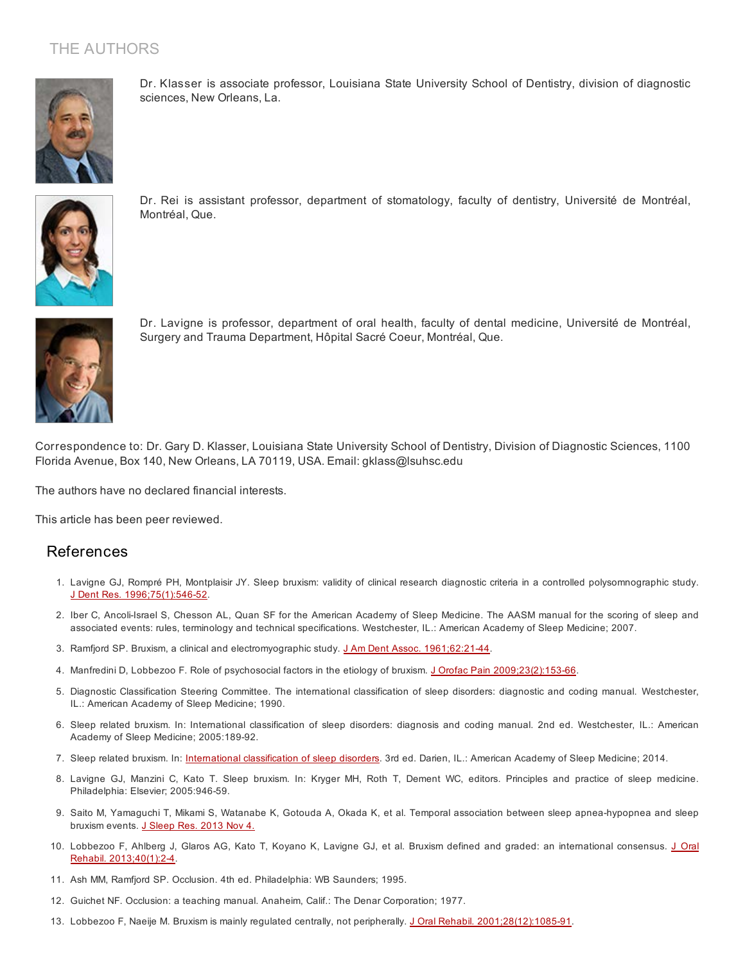# THE AUTHORS



Dr. Klasser is associate professor, Louisiana State University School of Dentistry, division of diagnostic sciences, New Orleans, La.



Dr. Rei is assistant professor, department of stomatology, faculty of dentistry, Université de Montréal, Montréal, Que.



Dr. Lavigne is professor, department of oral health, faculty of dental medicine, Université de Montréal, Surgery and Trauma Department, Hôpital Sacré Coeur, Montréal, Que.

Correspondence to: Dr. Gary D. Klasser, Louisiana State University School of Dentistry, Division of Diagnostic Sciences, 1100 Florida Avenue, Box 140, New Orleans, LA 70119, USA. Email: gklass@lsuhsc.edu

The authors have no declared financial interests.

This article has been peer reviewed.

#### References

- 1. Lavigne GJ, Rompré PH, Montplaisir JY. Sleep bruxism: validity of clinical research diagnostic criteria in a controlled polysomnographic study. J Dent Res. [1996;75\(1\):546-52](http://www.ncbi.nlm.nih.gov/pubmed/8655758).
- 2. Iber C, Ancoli-Israel S, Chesson AL, Quan SF for the American Academy of Sleep Medicine. The AASM manual for the scoring of sleep and associated events: rules, terminology and technical specifications. Westchester, IL.: American Academy of Sleep Medicine; 2007.
- 3. Ramfjord SP. Bruxism, a clinical and electromyographic study. J Am Dent Assoc. [1961;62:21-44.](http://www.ncbi.nlm.nih.gov/pubmed/13739329)
- 4. Manfredini D, Lobbezoo F. Role of psychosocial factors in the etiology of bruxism. J Orofac Pain [2009;23\(2\):153-66.](http://www.ncbi.nlm.nih.gov/pubmed/19492540)
- 5. Diagnostic Classification Steering Committee. The international classification of sleep disorders: diagnostic and coding manual. Westchester, IL.: American Academy of Sleep Medicine; 1990.
- 6. Sleep related bruxism. In: International classification of sleep disorders: diagnosis and coding manual. 2nd ed. Westchester, IL.: American Academy of Sleep Medicine; 2005:189-92.
- 7. Sleep related bruxism. In: *[International](http://www.aasmnet.org/library/default.aspx?id=9) classification of sleep disorders*. 3rd ed. Darien, IL.: American Academy of Sleep Medicine; 2014.
- 8. Lavigne GJ, Manzini C, Kato T. Sleep bruxism. In: Kryger MH, Roth T, Dement WC, editors. Principles and practice of sleep medicine. Philadelphia: Elsevier; 2005:946-59.
- 9. Saito M, Yamaguchi T, Mikami S, Watanabe K, Gotouda A, Okada K, et al. Temporal association between sleep apnea-hypopnea and sleep bruxism events. J [Sleep](http://www.ncbi.nlm.nih.gov/pubmed/24635459) Res. 2013 Nov 4.
- 10. Lobbezoo F, Ahlberg J, Glaros AG, Kato T, Koyano K, Lavigne GJ, et al. Bruxism defined and graded: an international consensus. J Oral Rehabil. [2013;40\(1\):2-4.](http://www.ncbi.nlm.nih.gov/pubmed/23121262)
- 11. Ash MM, Ramfjord SP. Occlusion. 4th ed. Philadelphia: WB Saunders; 1995.
- 12. Guichet NF. Occlusion: a teaching manual. Anaheim, Calif.: The Denar Corporation; 1977.
- 13. Lobbezoo F, Naeije M. Bruxism is mainly regulated centrally, not peripherally. J Oral Rehabil. [2001;28\(12\):1085-91.](http://www.ncbi.nlm.nih.gov/pubmed/11874505)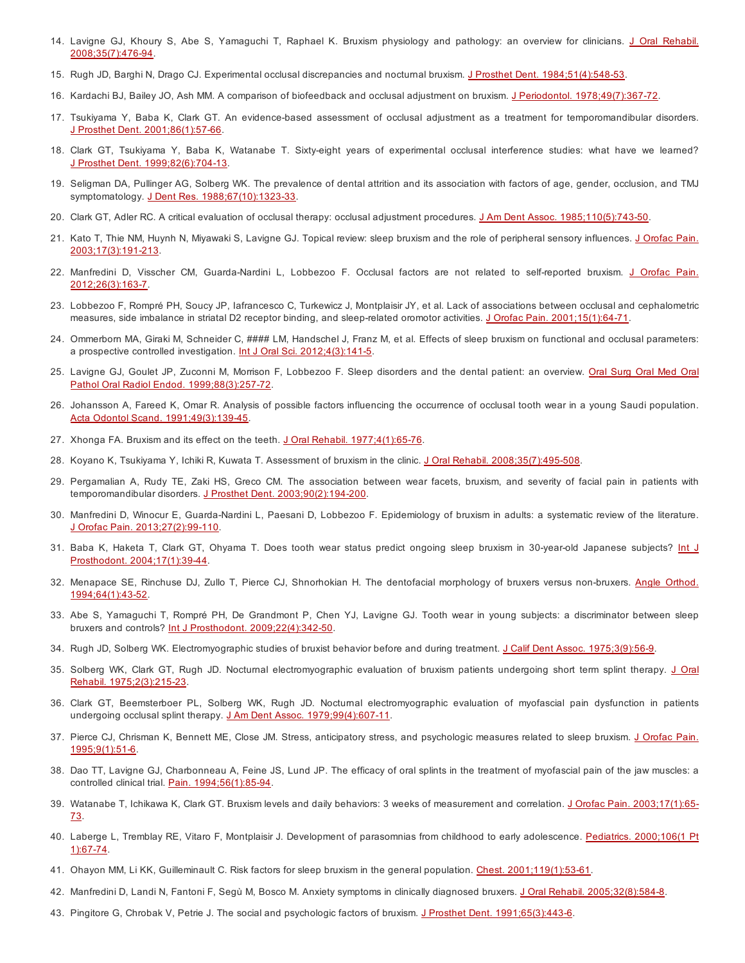- 14. Lavigne GJ, Khoury S, Abe S, Yamaguchi T, Raphael K. Bruxism physiology and pathology: an overview for clinicians. J Oral Rehabil. [2008;35\(7\):476-94.](http://www.ncbi.nlm.nih.gov/pubmed/18557915)
- 15. Rugh JD, Barghi N, Drago CJ. Experimental occlusal discrepancies and nocturnal bruxism. J Prosthet Dent. [1984;51\(4\):548-53.](http://www.ncbi.nlm.nih.gov/pubmed/6587078)
- 16. Kardachi BJ, Bailey JO, Ash MM. A comparison of biofeedback and occlusal adjustment on bruxism. J Periodontol. [1978;49\(7\):367-72](http://www.ncbi.nlm.nih.gov/pubmed/279664).
- 17. Tsukiyama Y, Baba K, Clark GT. An evidence-based assessment of occlusal adjustment as a treatment for temporomandibular disorders. J Prosthet Dent. [2001;86\(1\):57-66](http://www.ncbi.nlm.nih.gov/pubmed/11458263).
- 18. Clark GT, Tsukiyama Y, Baba K, Watanabe T. Sixty-eight years of experimental occlusal interference studies: what have we learned? J Prosthet Dent. [1999;82\(6\):704-13.](http://www.ncbi.nlm.nih.gov/pubmed/10588807)
- 19. Seligman DA, Pullinger AG, Solberg WK. The prevalence of dental attrition and its association with factors of age, gender, occlusion, and TMJ symptomatology. J Dent Res. [1988;67\(10\):1323-33](http://www.ncbi.nlm.nih.gov/pubmed/3049715).
- 20. Clark GT, Adler RC. A critical evaluation of occlusal therapy: occlusal adjustment procedures. J Am Dent Assoc. [1985;110\(5\):743-50](http://www.ncbi.nlm.nih.gov/pubmed/3891817).
- 21. Kato T, Thie NM, Huynh N, Miyawaki S, Lavigne GJ. Topical review: sleep bruxism and the role of peripheral sensory influences. J Orofac Pain. [2003;17\(3\):191-213.](http://www.ncbi.nlm.nih.gov/pubmed/14520766)
- 22. Manfredini D, Visscher CM, Guarda-Nardini L, Lobbezoo F. Occlusal factors are not related to self-reported bruxism. J Orofac Pain. [2012;26\(3\):163-7.](http://www.ncbi.nlm.nih.gov/pubmed/22838000)
- 23. Lobbezoo F, Rompré PH, Soucy JP, Iafrancesco C, Turkewicz J, Montplaisir JY, et al. Lack of associations between occlusal and cephalometric measures, side imbalance in striatal D2 receptor binding, and sleep-related oromotor activities. J Orofac Pain. [2001;15\(1\):64-71.](http://www.ncbi.nlm.nih.gov/pubmed/11889650)
- 24. Ommerborn MA, Giraki M, Schneider C, #### LM, Handschel J, Franz M, et al. Effects of sleep bruxism on functional and occlusal parameters: a prospective controlled investigation. Int J Oral Sci. [2012;4\(3\):141-5.](http://www.ncbi.nlm.nih.gov/pubmed/22935746)
- 25. Lavigne GJ, Goulet JP, Zuconni M, Morrison F, Lobbezoo F. Sleep disorders and the dental patient: an overview. Oral Surg Oral Med Oral Pathol Oral Radiol Endod. [1999;88\(3\):257-72.](http://www.ncbi.nlm.nih.gov/pubmed/10503851)
- 26. Johansson A, Fareed K, Omar R. Analysis of possible factors influencing the occurrence of occlusal tooth wear in a young Saudi population. Acta Odontol Scand. [1991;49\(3\):139-45](http://www.ncbi.nlm.nih.gov/pubmed/1882647).
- 27. Xhonga FA. Bruxism and its effect on the teeth. J Oral Rehabil. [1977;4\(1\):65-76](http://www.ncbi.nlm.nih.gov/pubmed/265365).
- 28. Koyano K, Tsukiyama Y, Ichiki R, Kuwata T. Assessment of bruxism in the clinic. J Oral Rehabil. [2008;35\(7\):495-508.](http://www.ncbi.nlm.nih.gov/pubmed/18557916)
- 29. Pergamalian A, Rudy TE, Zaki HS, Greco CM. The association between wear facets, bruxism, and severity of facial pain in patients with temporomandibular disorders. J Prosthet Dent. [2003;90\(2\):194-200](http://www.ncbi.nlm.nih.gov/pubmed/12886214).
- 30. Manfredini D, Winocur E, Guarda-Nardini L, Paesani D, Lobbezoo F. Epidemiology of bruxism in adults: a systematic review of the literature. J Orofac Pain. [2013;27\(2\):99-110.](http://www.ncbi.nlm.nih.gov/pubmed/23630682)
- 31. Baba K, Haketa T, Clark GT, Ohyama T. Does tooth wear status predict ongoing sleep bruxism in 30-year-old Japanese subjects? Int J Prosthodont. [2004;17\(1\):39-44.](http://www.ncbi.nlm.nih.gov/pubmed/15008231)
- 32. Menapace SE, Rinchuse DJ, Zullo T, Pierce CJ, Shnorhokian H. The dentofacial morphology of bruxers versus non-bruxers. Angle Orthod. [1994;64\(1\):43-52.](http://www.ncbi.nlm.nih.gov/pubmed/8172394)
- 33. Abe S, Yamaguchi T, Rompré PH, De Grandmont P, Chen YJ, Lavigne GJ. Tooth wear in young subjects: a discriminator between sleep bruxers and controls? Int J Prosthodont. [2009;22\(4\):342-50.](http://www.ncbi.nlm.nih.gov/pubmed/19639069)
- 34. Rugh JD, Solberg WK. Electromyographic studies of bruxist behavior before and during treatment. J Calif Dent Assoc. [1975;3\(9\):56-9.](http://www.ncbi.nlm.nih.gov/pubmed/1073399)
- 35. Solberg WK, Clark GT, Rugh JD. Nocturnal [electromyographic](http://www.ncbi.nlm.nih.gov/pubmed/1056979) evaluation of bruxism patients undergoing short term splint therapy. J Oral Rehabil. 1975;2(3):215-23.
- 36. Clark GT, Beemsterboer PL, Solberg WK, Rugh JD. Nocturnal electromyographic evaluation of myofascial pain dysfunction in patients undergoing occlusal splint therapy. J Am Dent Assoc. [1979;99\(4\):607-11.](http://www.ncbi.nlm.nih.gov/pubmed/292717)
- 37. Pierce CJ, Chrisman K, Bennett ME, Close JM. Stress, anticipatory stress, and psychologic measures related to sleep bruxism. J Orofac Pain. [1995;9\(1\):51-6.](http://www.ncbi.nlm.nih.gov/pubmed/7581205)
- 38. Dao TT, Lavigne GJ, Charbonneau A, Feine JS, Lund JP. The efficacy of oral splints in the treatment of myofascial pain of the jaw muscles: a controlled clinical trial. Pain. [1994;56\(1\):85-94.](http://www.ncbi.nlm.nih.gov/pubmed/8159444)
- 39. Watanabe T, Ichikawa K, Clark GT. Bruxism levels and daily behaviors: 3 weeks of measurement and correlation. J Orofac Pain. [2003;17\(1\):65-](http://www.ncbi.nlm.nih.gov/pubmed/12756933) 73.
- 40. Laberge L, Tremblay RE, Vitaro F, Montplaisir J. Development of parasomnias from childhood to early [adolescence.](http://www.ncbi.nlm.nih.gov/pubmed/10878151) Pediatrics. 2000;106(1 Pt 1):67-74.
- 41. Ohayon MM, Li KK, Guilleminault C. Risk factors for sleep bruxism in the general population. Chest. [2001;119\(1\):53-61.](http://www.ncbi.nlm.nih.gov/pubmed/11157584)
- 42. Manfredini D, Landi N, Fantoni F, Segù M, Bosco M. Anxiety symptoms in clinically diagnosed bruxers. J Oral Rehabil. 2005:32(8):584-8.
- 43. Pingitore G, Chrobak V, Petrie J. The social and psychologic factors of bruxism. J Prosthet Dent. [1991;65\(3\):443-6.](http://www.ncbi.nlm.nih.gov/pubmed/2056467)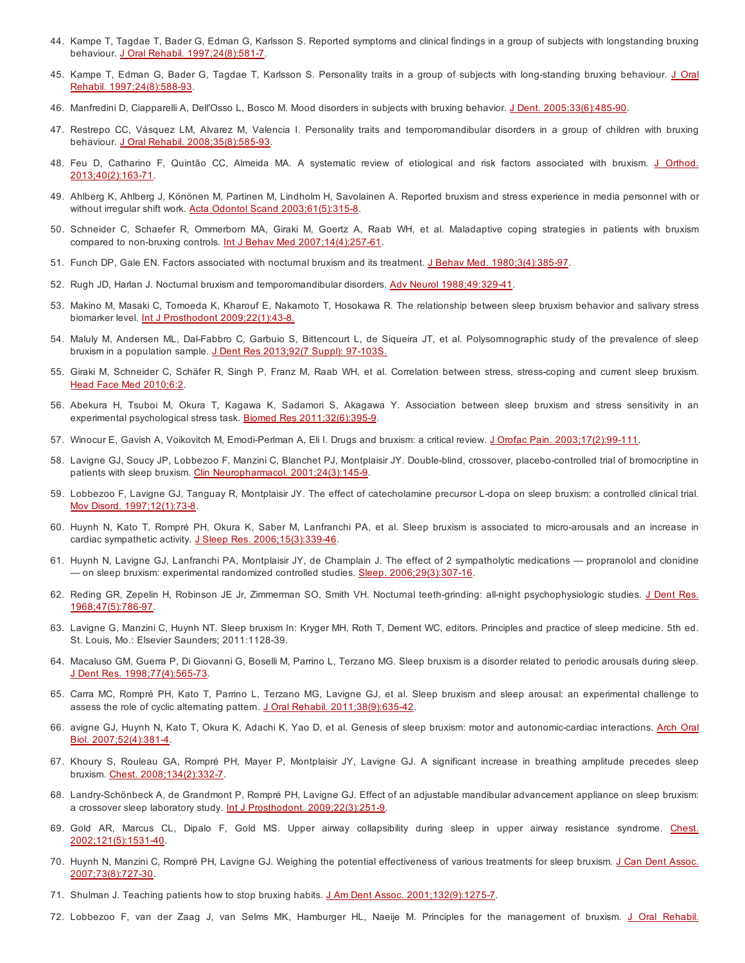- 44. Kampe T, Tagdae T, Bader G, Edman G, Karlsson S. Reported symptoms and clinical findings in a group of subjects with longstanding bruxing behaviour. J Oral Rehabil. [1997;24\(8\):581-7](http://www.ncbi.nlm.nih.gov/pubmed/9291251).
- 45. Kampe T, Edman G, Bader G, Tagdae T, Karlsson S. Personality traits in a group of subjects with long-standing bruxing behaviour. J Oral Rehabil. [1997;24\(8\):588-93.](http://www.ncbi.nlm.nih.gov/pubmed/9291252)
- 46. Manfredini D, Ciapparelli A, Dell'Osso L, Bosco M. Mood disorders in subjects with bruxing behavior. J Dent. [2005;33\(6\):485-90](http://www.ncbi.nlm.nih.gov/pubmed/15935268).
- 47. Restrepo CC, Vásquez LM, Alvarez M, Valencia I. Personality traits and temporomandibular disorders in a group of children with bruxing behaviour. J Oral Rehabil. [2008;35\(8\):585-93](http://www.ncbi.nlm.nih.gov/pubmed/18422509).
- 48. Feu D, Catharino F, Quintão CC, Almeida MA. A systematic review of etiological and risk factors associated with bruxism. J Orthod. [2013;40\(2\):163-71.](http://www.ncbi.nlm.nih.gov/pubmed/23794697)
- 49. Ahlberg K, Ahlberg J, Könönen M, Partinen M, Lindholm H, Savolainen A. Reported bruxism and stress experience in media personnel with or without irregular shift work. Acta Odontol Scand [2003;61\(5\):315-8.](http://www.ncbi.nlm.nih.gov/pubmed/14763785)
- 50. Schneider C, Schaefer R, Ommerborn MA, Giraki M, Goertz A, Raab WH, et al. Maladaptive coping strategies in patients with bruxism compared to non-bruxing controls. Int J Behav Med [2007;14\(4\):257-61.](http://www.ncbi.nlm.nih.gov/pubmed/18001242)
- 51. Funch DP, Gale EN. Factors associated with nocturnal bruxism and its treatment. J Behav Med. [1980;3\(4\):385-97.](http://www.ncbi.nlm.nih.gov/pubmed/7230260)
- 52. Rugh JD, Harlan J. Nocturnal bruxism and temporomandibular disorders. Adv Neurol [1988;49:329-41](http://www.ncbi.nlm.nih.gov/pubmed/3278546).
- 53. Makino M, Masaki C, Tomoeda K, Kharouf E, Nakamoto T, Hosokawa R. The relationship between sleep bruxism behavior and salivary stress biomarker level. Int J Prosthodont [2009;22\(1\):43-8.](http://www.ncbi.nlm.nih.gov/pubmed/19260426)
- 54. Maluly M, Andersen ML, Dal-Fabbro C, Garbuio S, Bittencourt L, de Siqueira JT, et al. Polysomnographic study of the prevalence of sleep bruxism in a population sample. J Dent Res 2013:92(7 Suppl): 97-103S.
- 55. Giraki M, Schneider C, Schäfer R, Singh P, Franz M, Raab WH, et al. Correlation between stress, stress-coping and current sleep bruxism. Head Face Med [2010;6:2.](http://www.ncbi.nlm.nih.gov/pubmed/20205705)
- 56. Abekura H, Tsuboi M, Okura T, Kagawa K, Sadamori S, Akagawa Y. Association between sleep bruxism and stress sensitivity in an experimental psychological stress task. Biomed Res [2011;32\(6\):395-9.](http://www.ncbi.nlm.nih.gov/pubmed/22199130)
- 57. Winocur E, Gavish A, Voikovitch M, Emodi-Perlman A, Eli I. Drugs and bruxism: a critical review. J Orofac Pain. [2003;17\(2\):99-111.](http://www.ncbi.nlm.nih.gov/pubmed/12836498)
- 58. Lavigne GJ, Soucy JP, Lobbezoo F, Manzini C, Blanchet PJ, Montplaisir JY. Double-blind, crossover, placebo-controlled trial of bromocriptine in patients with sleep bruxism. Clin Neuropharmacol. [2001;24\(3\):145-9.](http://www.ncbi.nlm.nih.gov/pubmed/11391125)
- 59. Lobbezoo F, Lavigne GJ, Tanguay R, Montplaisir JY. The effect of catecholamine precursor L-dopa on sleep bruxism: a controlled clinical trial. Mov Disord. [1997;12\(1\):73-8](http://www.ncbi.nlm.nih.gov/pubmed/8990057).
- 60. Huynh N, Kato T, Rompré PH, Okura K, Saber M, Lanfranchi PA, et al. Sleep bruxism is associated to micro-arousals and an increase in cardiac sympathetic activity. J Sleep Res. [2006;15\(3\):339-46.](http://www.ncbi.nlm.nih.gov/pubmed/16911037)
- 61. Huynh N, Lavigne GJ, Lanfranchi PA, Montplaisir JY, de Champlain J. The effect of 2 sympatholytic medications propranolol and clonidine — on sleep bruxism: experimental randomized controlled studies. Sleep. [2006;29\(3\):307-16.](http://www.ncbi.nlm.nih.gov/pubmed/16553016)
- 62. Reding GR, Zepelin H, Robinson JE Jr, Zimmerman SO, Smith VH. Nocturnal teeth-grinding: all-night psychophysiologic studies. J Dent Res. [1968;47\(5\):786-97.](http://www.ncbi.nlm.nih.gov/pubmed/5248921)
- 63. Lavigne G, Manzini C, Huynh NT. Sleep bruxism In: Kryger MH, Roth T, Dement WC, editors. Principles and practice of sleep medicine. 5th ed. St. Louis, Mo.: Elsevier Saunders; 2011:1128-39.
- 64. Macaluso GM, Guerra P, Di Giovanni G, Boselli M, Parrino L, Terzano MG. Sleep bruxism is a disorder related to periodic arousals during sleep. J Dent Res. [1998;77\(4\):565-73](http://www.ncbi.nlm.nih.gov/pubmed/9539459).
- 65. Carra MC, Rompré PH, Kato T, Parrino L, Terzano MG, Lavigne GJ, et al. Sleep bruxism and sleep arousal: an experimental challenge to assess the role of cyclic alternating pattern. J Oral Rehabil. [2011;38\(9\):635-42](http://www.ncbi.nlm.nih.gov/pubmed/21299589).
- 66. avigne GJ, Huynh N, Kato T, Okura K, Adachi K, Yao D, et al. Genesis of sleep bruxism: motor and [autonomic-cardiac](http://www.ncbi.nlm.nih.gov/pubmed/17313939) interactions. Arch Oral Biol. 2007;52(4):381-4.
- 67. Khoury S, Rouleau GA, Rompré PH, Mayer P, Montplaisir JY, Lavigne GJ. A significant increase in breathing amplitude precedes sleep bruxism. Chest. [2008;134\(2\):332-7.](http://www.ncbi.nlm.nih.gov/pubmed/18490400)
- 68. Landry-Schönbeck A, de Grandmont P, Rompré PH, Lavigne GJ. Effect of an adjustable mandibular advancement appliance on sleep bruxism: a crossover sleep laboratory study. Int J Prosthodont. [2009;22\(3\):251-9.](http://www.ncbi.nlm.nih.gov/pubmed/19548407)
- 69. Gold AR, Marcus CL, Dipalo F, Gold MS. Upper airway collapsibility during sleep in upper airway resistance syndrome. Chest. [2002;121\(5\):1531-40.](http://www.ncbi.nlm.nih.gov/pubmed/12006440)
- 70. Huynh N, Manzini C, Rompré PH, Lavigne GJ. Weighing the potential effectiveness of various treatments for sleep bruxism. J Can Dent Assoc. [2007;73\(8\):727-30.](http://www.ncbi.nlm.nih.gov/pubmed/17949541)
- 71. Shulman J. Teaching patients how to stop bruxing habits. J Am Dent Assoc. [2001;132\(9\):1275-7](http://www.ncbi.nlm.nih.gov/pubmed/11665353).
- 72. Lobbezoo F, van der Zaag J, van Selms MK, Hamburger HL, Naeije M. Principles for the [management](http://www.ncbi.nlm.nih.gov/pubmed/18557917) of bruxism. J Oral Rehabil.